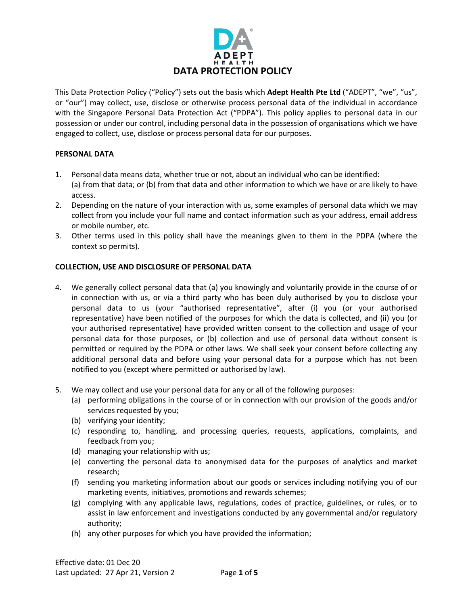

This Data Protection Policy ("Policy") sets out the basis which **Adept Health Pte Ltd** ("ADEPT", "we", "us", or "our") may collect, use, disclose or otherwise process personal data of the individual in accordance with the Singapore Personal Data Protection Act ("PDPA"). This policy applies to personal data in our possession or under our control, including personal data in the possession of organisations which we have engaged to collect, use, disclose or process personal data for our purposes.

# **PERSONAL DATA**

- 1. Personal data means data, whether true or not, about an individual who can be identified: (a) from that data; or (b) from that data and other information to which we have or are likely to have access.
- 2. Depending on the nature of your interaction with us, some examples of personal data which we may collect from you include your full name and contact information such as your address, email address or mobile number, etc.
- 3. Other terms used in this policy shall have the meanings given to them in the PDPA (where the context so permits).

# **COLLECTION, USE AND DISCLOSURE OF PERSONAL DATA**

- 4. We generally collect personal data that (a) you knowingly and voluntarily provide in the course of or in connection with us, or via a third party who has been duly authorised by you to disclose your personal data to us (your "authorised representative", after (i) you (or your authorised representative) have been notified of the purposes for which the data is collected, and (ii) you (or your authorised representative) have provided written consent to the collection and usage of your personal data for those purposes, or (b) collection and use of personal data without consent is permitted or required by the PDPA or other laws. We shall seek your consent before collecting any additional personal data and before using your personal data for a purpose which has not been notified to you (except where permitted or authorised by law).
- 5. We may collect and use your personal data for any or all of the following purposes:
	- (a) performing obligations in the course of or in connection with our provision of the goods and/or services requested by you;
	- (b) verifying your identity;
	- (c) responding to, handling, and processing queries, requests, applications, complaints, and feedback from you;
	- (d) managing your relationship with us;
	- (e) converting the personal data to anonymised data for the purposes of analytics and market research;
	- (f) sending you marketing information about our goods or services including notifying you of our marketing events, initiatives, promotions and rewards schemes;
	- (g) complying with any applicable laws, regulations, codes of practice, guidelines, or rules, or to assist in law enforcement and investigations conducted by any governmental and/or regulatory authority;
	- (h) any other purposes for which you have provided the information;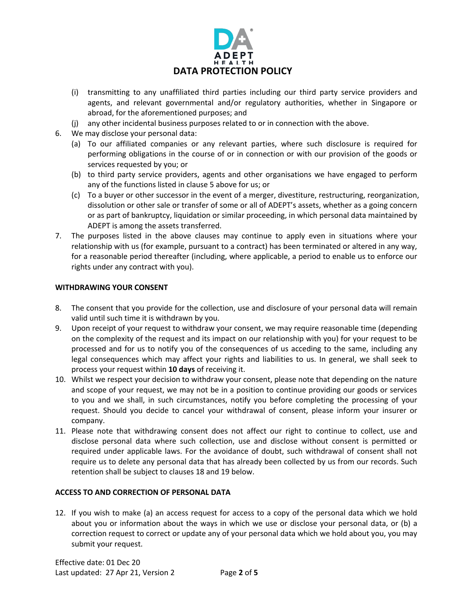

- (i) transmitting to any unaffiliated third parties including our third party service providers and agents, and relevant governmental and/or regulatory authorities, whether in Singapore or abroad, for the aforementioned purposes; and
- (j) any other incidental business purposes related to or in connection with the above.
- 6. We may disclose your personal data:
	- (a) To our affiliated companies or any relevant parties, where such disclosure is required for performing obligations in the course of or in connection or with our provision of the goods or services requested by you; or
	- (b) to third party service providers, agents and other organisations we have engaged to perform any of the functions listed in clause 5 above for us; or
	- (c) To a buyer or other successor in the event of a merger, divestiture, restructuring, reorganization, dissolution or other sale or transfer of some or all of ADEPT's assets, whether as a going concern or as part of bankruptcy, liquidation or similar proceeding, in which personal data maintained by ADEPT is among the assets transferred.
- 7. The purposes listed in the above clauses may continue to apply even in situations where your relationship with us (for example, pursuant to a contract) has been terminated or altered in any way, for a reasonable period thereafter (including, where applicable, a period to enable us to enforce our rights under any contract with you).

### **WITHDRAWING YOUR CONSENT**

- 8. The consent that you provide for the collection, use and disclosure of your personal data will remain valid until such time it is withdrawn by you.
- 9. Upon receipt of your request to withdraw your consent, we may require reasonable time (depending on the complexity of the request and its impact on our relationship with you) for your request to be processed and for us to notify you of the consequences of us acceding to the same, including any legal consequences which may affect your rights and liabilities to us. In general, we shall seek to process your request within **10 days** of receiving it.
- 10. Whilst we respect your decision to withdraw your consent, please note that depending on the nature and scope of your request, we may not be in a position to continue providing our goods or services to you and we shall, in such circumstances, notify you before completing the processing of your request. Should you decide to cancel your withdrawal of consent, please inform your insurer or company.
- 11. Please note that withdrawing consent does not affect our right to continue to collect, use and disclose personal data where such collection, use and disclose without consent is permitted or required under applicable laws. For the avoidance of doubt, such withdrawal of consent shall not require us to delete any personal data that has already been collected by us from our records. Such retention shall be subject to clauses 18 and 19 below.

# **ACCESS TO AND CORRECTION OF PERSONAL DATA**

12. If you wish to make (a) an access request for access to a copy of the personal data which we hold about you or information about the ways in which we use or disclose your personal data, or (b) a correction request to correct or update any of your personal data which we hold about you, you may submit your request.

Effective date: 01 Dec 20 Last updated: 27 Apr 21, Version 2 Page **2** of **5**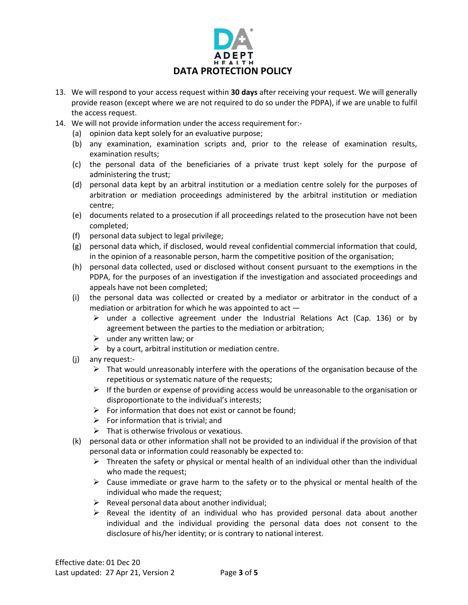

- 13. We will respond to your access request within **30 days** after receiving your request. We will generally provide reason (except where we are not required to do so under the PDPA), if we are unable to fulfil the access request.
- 14. We will not provide information under the access requirement for:-
	- (a) opinion data kept solely for an evaluative purpose;
	- (b) any examination, examination scripts and, prior to the release of examination results, examination results;
	- (c) the personal data of the beneficiaries of a private trust kept solely for the purpose of administering the trust;
	- (d) personal data kept by an arbitral institution or a mediation centre solely for the purposes of arbitration or mediation proceedings administered by the arbitral institution or mediation centre;
	- (e) documents related to a prosecution if all proceedings related to the prosecution have not been completed;
	- (f) personal data subject to legal privilege;
	- (g) personal data which, if disclosed, would reveal confidential commercial information that could, in the opinion of a reasonable person, harm the competitive position of the organisation;
	- (h) personal data collected, used or disclosed without consent pursuant to the exemptions in the PDPA, for the purposes of an investigation if the investigation and associated proceedings and appeals have not been completed;
	- (i) the personal data was collected or created by a mediator or arbitrator in the conduct of a mediation or arbitration for which he was appointed to act —
		- $\triangleright$  under a collective agreement under the Industrial Relations Act (Cap. 136) or by agreement between the parties to the mediation or arbitration;
		- $\triangleright$  under any written law; or
		- $\triangleright$  by a court, arbitral institution or mediation centre.
	- (j) any request:-
		- $\triangleright$  That would unreasonably interfere with the operations of the organisation because of the repetitious or systematic nature of the requests;
		- $\triangleright$  If the burden or expense of providing access would be unreasonable to the organisation or disproportionate to the individual's interests;
		- $\triangleright$  For information that does not exist or cannot be found;
		- $\triangleright$  For information that is trivial; and
		- $\triangleright$  That is otherwise frivolous or vexatious.
	- (k) personal data or other information shall not be provided to an individual if the provision of that personal data or information could reasonably be expected to:
		- $\triangleright$  Threaten the safety or physical or mental health of an individual other than the individual who made the request;
		- $\triangleright$  Cause immediate or grave harm to the safety or to the physical or mental health of the individual who made the request;
		- $\triangleright$  Reveal personal data about another individual;
		- $\triangleright$  Reveal the identity of an individual who has provided personal data about another individual and the individual providing the personal data does not consent to the disclosure of his/her identity; or is contrary to national interest.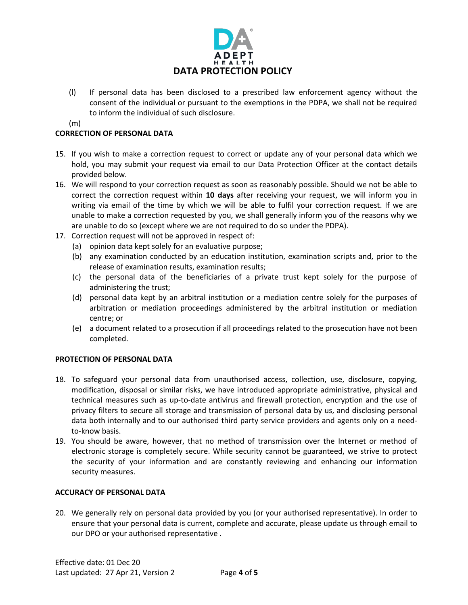

(l) If personal data has been disclosed to a prescribed law enforcement agency without the consent of the individual or pursuant to the exemptions in the PDPA, we shall not be required to inform the individual of such disclosure.

(m)

### **CORRECTION OF PERSONAL DATA**

- 15. If you wish to make a correction request to correct or update any of your personal data which we hold, you may submit your request via email to our Data Protection Officer at the contact details provided below.
- 16. We will respond to your correction request as soon as reasonably possible. Should we not be able to correct the correction request within **10 days** after receiving your request, we will inform you in writing via email of the time by which we will be able to fulfil your correction request. If we are unable to make a correction requested by you, we shall generally inform you of the reasons why we are unable to do so (except where we are not required to do so under the PDPA).
- 17. Correction request will not be approved in respect of:
	- (a) opinion data kept solely for an evaluative purpose;
	- (b) any examination conducted by an education institution, examination scripts and, prior to the release of examination results, examination results;
	- (c) the personal data of the beneficiaries of a private trust kept solely for the purpose of administering the trust;
	- (d) personal data kept by an arbitral institution or a mediation centre solely for the purposes of arbitration or mediation proceedings administered by the arbitral institution or mediation centre; or
	- (e) a document related to a prosecution if all proceedings related to the prosecution have not been completed.

#### **PROTECTION OF PERSONAL DATA**

- 18. To safeguard your personal data from unauthorised access, collection, use, disclosure, copying, modification, disposal or similar risks, we have introduced appropriate administrative, physical and technical measures such as up-to-date antivirus and firewall protection, encryption and the use of privacy filters to secure all storage and transmission of personal data by us, and disclosing personal data both internally and to our authorised third party service providers and agents only on a needto-know basis.
- 19. You should be aware, however, that no method of transmission over the Internet or method of electronic storage is completely secure. While security cannot be guaranteed, we strive to protect the security of your information and are constantly reviewing and enhancing our information security measures.

#### **ACCURACY OF PERSONAL DATA**

20. We generally rely on personal data provided by you (or your authorised representative). In order to ensure that your personal data is current, complete and accurate, please update us through email to our DPO or your authorised representative .